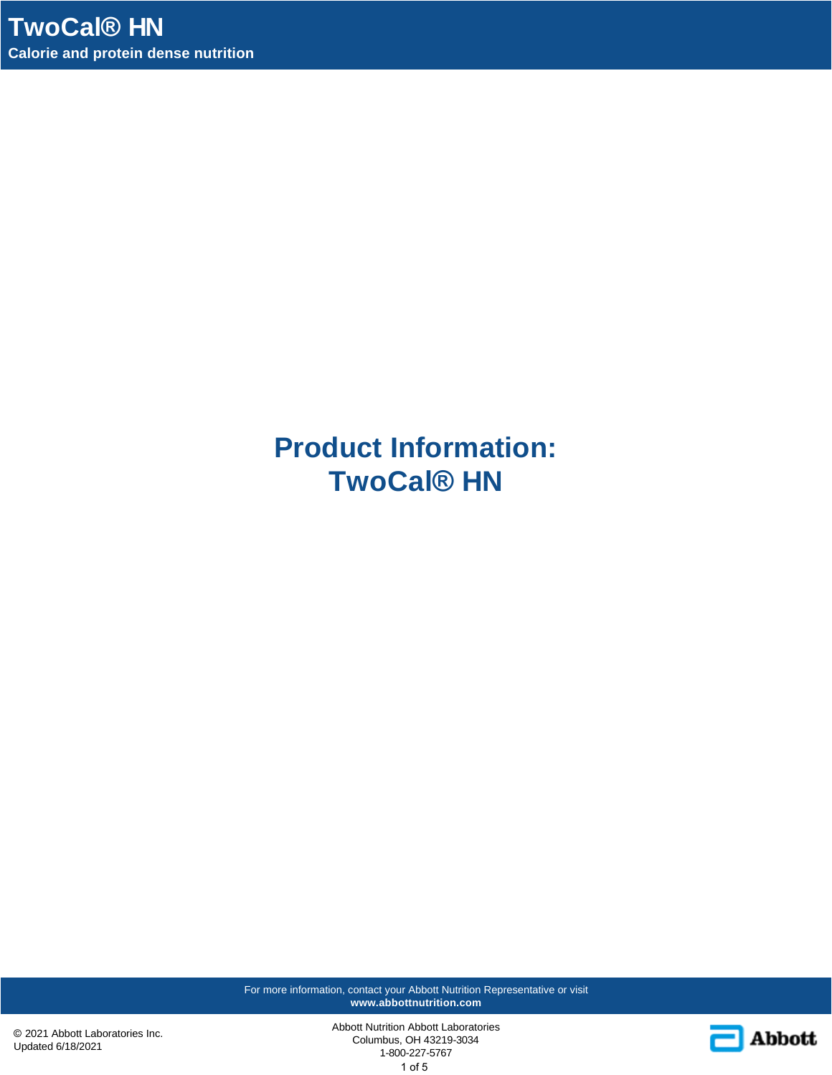**Product Information: TwoCal® HN**

For more information, contact your Abbott Nutrition Representative or visit **www.abbottnutrition.com**

© 2021 Abbott Laboratories Inc. Updated 6/18/2021

Abbott Nutrition Abbott Laboratories Columbus, OH 43219-3034 1-800-227-5767 1 of 5

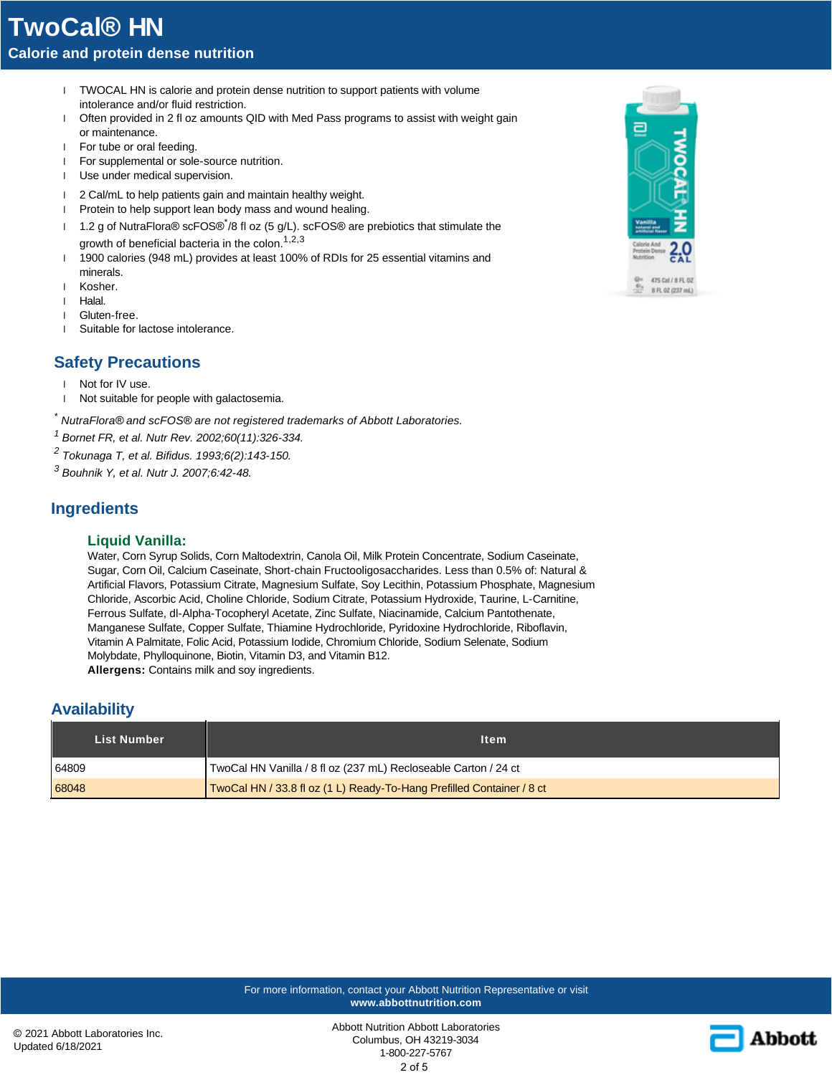# **TwoCal® HN Calorie and protein dense nutrition**

- l TWOCAL HN is calorie and protein dense nutrition to support patients with volume intolerance and/or fluid restriction.
- l Often provided in 2 fl oz amounts QID with Med Pass programs to assist with weight gain or maintenance.
- l For tube or oral feeding.
- l For supplemental or sole-source nutrition.
- l Use under medical supervision.
- 1 2 Cal/mL to help patients gain and maintain healthy weight.
- l Protein to help support lean body mass and wound healing.
- 1 1.2 g of NutraFlora® scFOS®<sup>\*</sup>/8 fl oz (5 g/L). scFOS® are prebiotics that stimulate the growth of beneficial bacteria in the colon.  $1,2,3$
- 1 1900 calories (948 mL) provides at least 100% of RDIs for 25 essential vitamins and minerals.
- l Kosher.
- l Halal.
- l Gluten-free.
- 1 Suitable for lactose intolerance.

### **Safety Precautions**

l Not for IV use.

l Not suitable for people with galactosemia.

*\* NutraFlora® and scFOS® are not registered trademarks of Abbott Laboratories.*

- *1 Bornet FR, et al. Nutr Rev. 2002;60(11):326-334.*
- *2 Tokunaga T, et al. Bifidus. 1993;6(2):143-150.*

*3 Bouhnik Y, et al. Nutr J. 2007;6:42-48.*

### **Ingredients**

### **Liquid Vanilla:**

Water, Corn Syrup Solids, Corn Maltodextrin, Canola Oil, Milk Protein Concentrate, Sodium Caseinate, Sugar, Corn Oil, Calcium Caseinate, Short-chain Fructooligosaccharides. Less than 0.5% of: Natural & Artificial Flavors, Potassium Citrate, Magnesium Sulfate, Soy Lecithin, Potassium Phosphate, Magnesium Chloride, Ascorbic Acid, Choline Chloride, Sodium Citrate, Potassium Hydroxide, Taurine, L-Carnitine, Ferrous Sulfate, dl-Alpha-Tocopheryl Acetate, Zinc Sulfate, Niacinamide, Calcium Pantothenate, Manganese Sulfate, Copper Sulfate, Thiamine Hydrochloride, Pyridoxine Hydrochloride, Riboflavin, Vitamin A Palmitate, Folic Acid, Potassium Iodide, Chromium Chloride, Sodium Selenate, Sodium Molybdate, Phylloquinone, Biotin, Vitamin D3, and Vitamin B12. **Allergens:** Contains milk and soy ingredients.

### **Availability**

| <b>List Number</b> | <b>Item</b>                                                           |
|--------------------|-----------------------------------------------------------------------|
| 64809              | TwoCal HN Vanilla / 8 fl oz (237 mL) Recloseable Carton / 24 ct       |
| 68048              | TwoCal HN / 33.8 fl oz (1 L) Ready-To-Hang Prefilled Container / 8 ct |

For more information, contact your Abbott Nutrition Representative or visit **www.abbottnutrition.com**

© 2021 Abbott Laboratories Inc. Updated 6/18/2021

Abbott Nutrition Abbott Laboratories Columbus, OH 43219-3034 1-800-227-5767 2 of 5



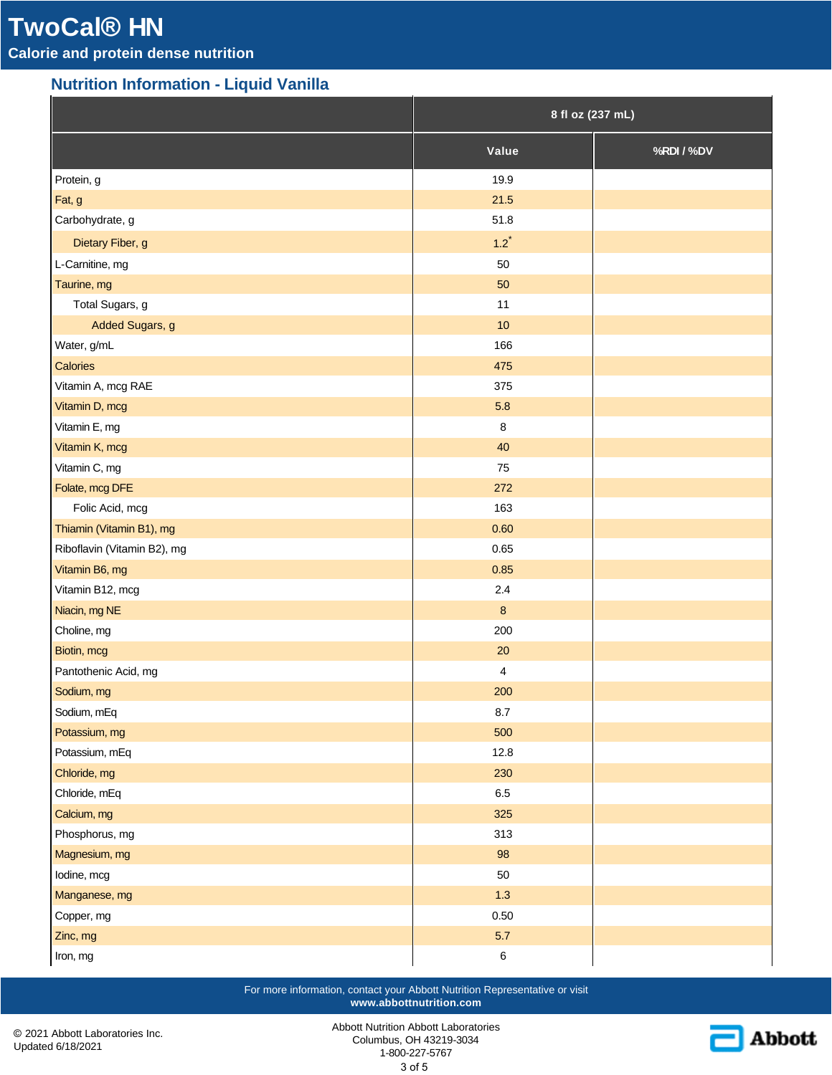**TwoCal® HN**

# **Calorie and protein dense nutrition**

## **Nutrition Information - Liquid Vanilla**

|                             | 8 fl oz (237 mL) |            |
|-----------------------------|------------------|------------|
|                             | Value            | %RDI / %DV |
| Protein, g                  | 19.9             |            |
| Fat, g                      | 21.5             |            |
| Carbohydrate, g             | 51.8             |            |
| Dietary Fiber, g            | $1.2^*$          |            |
| L-Carnitine, mg             | 50               |            |
| Taurine, mg                 | 50               |            |
| Total Sugars, g             | 11               |            |
| Added Sugars, g             | 10               |            |
| Water, g/mL                 | 166              |            |
| Calories                    | 475              |            |
| Vitamin A, mcg RAE          | 375              |            |
| Vitamin D, mcg              | 5.8              |            |
| Vitamin E, mg               | 8                |            |
| Vitamin K, mcg              | 40               |            |
| Vitamin C, mg               | 75               |            |
| Folate, mcg DFE             | 272              |            |
| Folic Acid, mcg             | 163              |            |
| Thiamin (Vitamin B1), mg    | 0.60             |            |
| Riboflavin (Vitamin B2), mg | 0.65             |            |
| Vitamin B6, mg              | 0.85             |            |
| Vitamin B12, mcg            | 2.4              |            |
| Niacin, mg NE               | $\bf{8}$         |            |
| Choline, mg                 | 200              |            |
| Biotin, mcg                 | 20               |            |
| Pantothenic Acid, mg        | 4                |            |
| Sodium, mg                  | 200              |            |
| Sodium, mEq                 | 8.7              |            |
| Potassium, mg               | 500              |            |
| Potassium, mEq              | 12.8             |            |
| Chloride, mg                | 230              |            |
| Chloride, mEq               | $6.5\,$          |            |
| Calcium, mg                 | 325              |            |
| Phosphorus, mg              | 313              |            |
| Magnesium, mg               | 98               |            |
| lodine, mcg                 | 50               |            |
| Manganese, mg               | $1.3$            |            |
| Copper, mg                  | 0.50             |            |
| Zinc, mg                    | 5.7              |            |
| Iron, mg                    | $\,6$            |            |

For more information, contact your Abbott Nutrition Representative or visit **www.abbottnutrition.com**

© 2021 Abbott Laboratories Inc. Updated 6/18/2021

Abbott Nutrition Abbott Laboratories Columbus, OH 43219-3034 1-800-227-5767 3 of 5

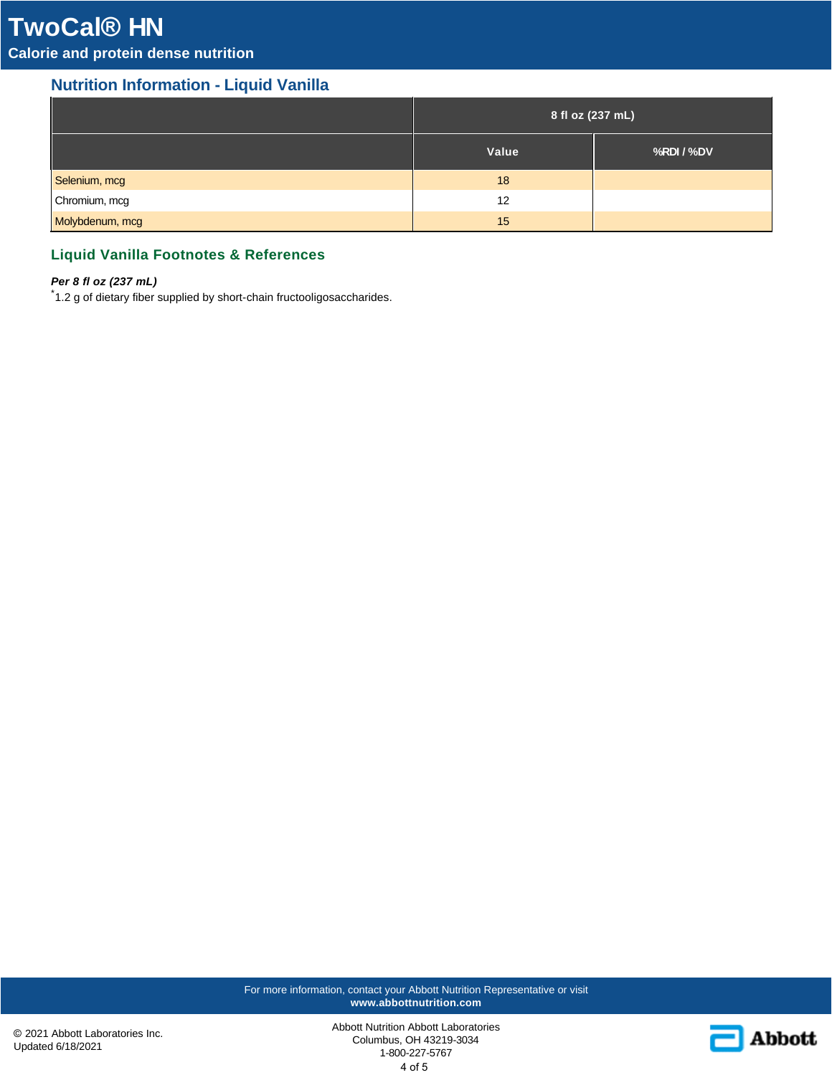# **TwoCal® HN**

# **Calorie and protein dense nutrition**

# **Nutrition Information - Liquid Vanilla**

|                 | 8 fl oz (237 mL) |            |
|-----------------|------------------|------------|
|                 | Value            | %RDI / %DV |
| Selenium, mcg   | 18               |            |
| Chromium, mcg   | 12               |            |
| Molybdenum, mcg | 15               |            |

### **Liquid Vanilla Footnotes & References**

*Per 8 fl oz (237 mL)*

\*1.2 g of dietary fiber supplied by short-chain fructooligosaccharides.

For more information, contact your Abbott Nutrition Representative or visit **www.abbottnutrition.com**

© 2021 Abbott Laboratories Inc. Updated 6/18/2021

Abbott Nutrition Abbott Laboratories Columbus, OH 43219-3034 1-800-227-5767 4 of 5